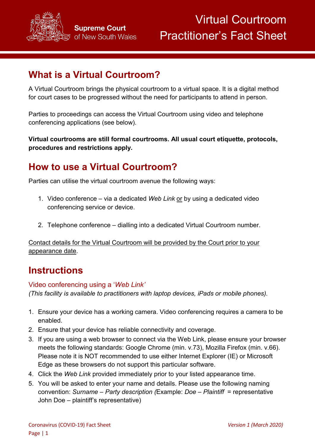

# **What is a Virtual Courtroom?**

A Virtual Courtroom brings the physical courtroom to a virtual space. It is a digital method for court cases to be progressed without the need for participants to attend in person.

Parties to proceedings can access the Virtual Courtroom using video and telephone conferencing applications (see below).

**Virtual courtrooms are still formal courtrooms. All usual court etiquette, protocols, procedures and restrictions apply.**

# **How to use a Virtual Courtroom?**

Parties can utilise the virtual courtroom avenue the following ways:

- 1. Video conference via a dedicated *Web Link* or by using a dedicated video conferencing service or device.
- 2. Telephone conference dialling into a dedicated Virtual Courtroom number.

Contact details for the Virtual Courtroom will be provided by the Court prior to your appearance date.

### **Instructions**

#### Video conferencing using a '*Web Link'*

*(This facility is available to practitioners with laptop devices, iPads or mobile phones).*

- 1. Ensure your device has a working camera. Video conferencing requires a camera to be enabled.
- 2. Ensure that your device has reliable connectivity and coverage.
- 3. If you are using a web browser to connect via the Web Link, please ensure your browser meets the following standards: Google Chrome (min. v.73), Mozilla Firefox (min. v.66). Please note it is NOT recommended to use either Internet Explorer (IE) or Microsoft Edge as these browsers do not support this particular software.
- 4. Click the *Web Link* provided immediately prior to your listed appearance time.
- 5. You will be asked to enter your name and details. Please use the following naming convention: *Surname – Party description (*Example: *Doe – Plaintiff* = representative John Doe – plaintiff's representative)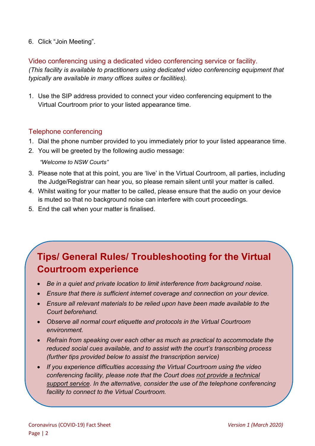#### 6. Click "Join Meeting".

#### Video conferencing using a dedicated video conferencing service or facility.

*(This facility is available to practitioners using dedicated video conferencing equipment that typically are available in many offices suites or facilities).*

1. Use the SIP address provided to connect your video conferencing equipment to the Virtual Courtroom prior to your listed appearance time.

#### Telephone conferencing

- 1. Dial the phone number provided to you immediately prior to your listed appearance time.
- 2. You will be greeted by the following audio message:

*"Welcome to NSW Courts"*

- 3. Please note that at this point, you are 'live' in the Virtual Courtroom, all parties, including the Judge/Registrar can hear you, so please remain silent until your matter is called.
- 4. Whilst waiting for your matter to be called, please ensure that the audio on your device is muted so that no background noise can interfere with court proceedings.
- 5. End the call when your matter is finalised.

# **Tips/ General Rules/ Troubleshooting for the Virtual Courtroom experience**

- *Be in a quiet and private location to limit interference from background noise.*
- *Ensure that there is sufficient internet coverage and connection on your device.*
- *Ensure all relevant materials to be relied upon have been made available to the Court beforehand.*
- *Observe all normal court etiquette and protocols in the Virtual Courtroom environment.*
- *Refrain from speaking over each other as much as practical to accommodate the reduced social cues available, and to assist with the court's transcribing process (further tips provided below to assist the transcription service)*
- *If you experience difficulties accessing the Virtual Courtroom using the video conferencing facility, please note that the Court does not provide a technical support service. In the alternative, consider the use of the telephone conferencing facility to connect to the Virtual Courtroom.*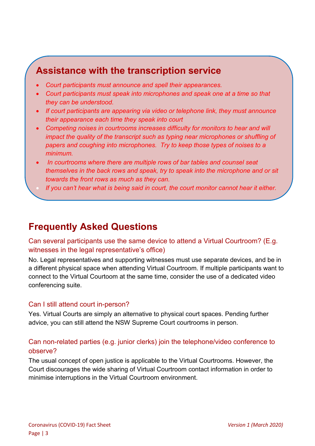## **Assistance with the transcription service**

- *Court participants must announce and spell their appearances.*
- *Court participants must speak into microphones and speak one at a time so that they can be understood.*
- *If court participants are appearing via video or telephone link, they must announce their appearance each time they speak into court*
- *Competing noises in courtrooms increases difficulty for monitors to hear and will impact the quality of the transcript such as typing near microphones or shuffling of papers and coughing into microphones. Try to keep those types of noises to a minimum.*
- *In courtrooms where there are multiple rows of bar tables and counsel seat themselves in the back rows and speak, try to speak into the microphone and or sit towards the front rows as much as they can.*
	- *If you can't hear what is being said in court, the court monitor cannot hear it either.*

## **Frequently Asked Questions**

Can several participants use the same device to attend a Virtual Courtroom? (E.g. witnesses in the legal representative's office)

No. Legal representatives and supporting witnesses must use separate devices, and be in a different physical space when attending Virtual Courtroom. If multiple participants want to connect to the Virtual Courtoom at the same time, consider the use of a dedicated video conferencing suite.

#### Can I still attend court in-person?

Yes. Virtual Courts are simply an alternative to physical court spaces. Pending further advice, you can still attend the NSW Supreme Court courtrooms in person.

#### Can non-related parties (e.g. junior clerks) join the telephone/video conference to observe?

The usual concept of open justice is applicable to the Virtual Courtrooms. However, the Court discourages the wide sharing of Virtual Courtroom contact information in order to minimise interruptions in the Virtual Courtroom environment.